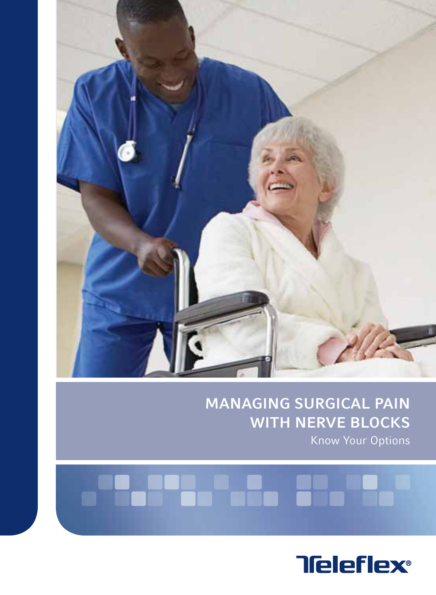

#### MANAGING surgical pain WITH NERVE BLOCKS Know Your Options

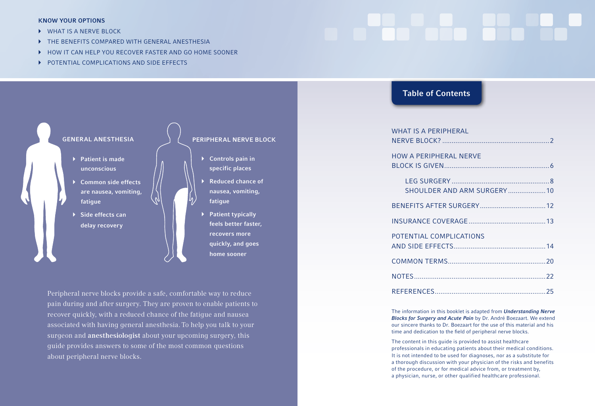#### KNOW YOUR OPTIONS

- WHAT IS A NERVE BLOCK
- **FILE BENEFITS COMPARED WITH GENERAL ANESTHESIA**
- HOW IT CAN HELP YOU RECOVER FASTER AND GO HOME SOONER
- **POTENTIAL COMPLICATIONS AND SIDE EFFECTS**



Peripheral nerve blocks provide a safe, comfortable way to reduce pain during and after surgery. They are proven to enable patients to recover quickly, with a reduced chance of the fatigue and nausea associated with having general anesthesia. To help you talk to your surgeon and anesthesiologist about your upcoming surgery, this guide provides answers to some of the most common questions about peripheral nerve blocks.

#### Table of Contents

| <b>WHAT IS A PERIPHERAL</b>   |  |
|-------------------------------|--|
| <b>HOW A PERIPHERAL NERVE</b> |  |
| SHOULDER AND ARM SURGERY  10  |  |
|                               |  |
|                               |  |
| POTENTIAL COMPLICATIONS       |  |
|                               |  |
|                               |  |
|                               |  |

The information in this booklet is adapted from **Understanding Nerve** Blocks for Surgery and Acute Pain by Dr. André Boezaart. We extend our sincere thanks to Dr. Boezaart for the use of this material and his time and dedication to the field of peripheral nerve blocks.

The content in this guide is provided to assist healthcare professionals in educating patients about their medical conditions. It is not intended to be used for diagnoses, nor as a substitute for a thorough discussion with your physician of the risks and benefits of the procedure, or for medical advice from, or treatment by, a physician, nurse, or other qualified healthcare professional.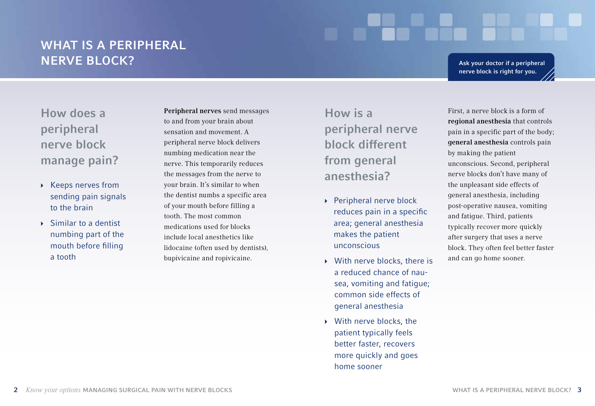## WHAT IS A PERIPHERAL nerve block?

Ask your doctor if a peripheral nerve block is right for you.

How does a peripheral nerve block manage pain?

- ▶ Keeps nerves from sending pain signals to the brain
- $\rightarrow$  Similar to a dentist numbing part of the mouth before filling a tooth

Peripheral nerves send messages to and from your brain about sensation and movement. A peripheral nerve block delivers numbing medication near the nerve. This temporarily reduces the messages from the nerve to your brain. It's similar to when the dentist numbs a specific area of your mouth before filling a tooth. The most common medications used for blocks include local anesthetics like lidocaine (often used by dentists), bupivicaine and ropivicaine.

How is a peripheral nerve block different from general anesthesia?

- ▶ Peripheral nerve block reduces pain in a specific area; general anesthesia makes the patient unconscious
- $\rightarrow$  With nerve blocks, there is a reduced chance of nausea, vomiting and fatigue; common side effects of general anesthesia
- $\rightarrow$  With nerve blocks, the patient typically feels better faster, recovers more quickly and goes home sooner

First, a nerve block is a form of regional anesthesia that controls pain in a specific part of the body; general anesthesia controls pain by making the patient unconscious. Second, peripheral nerve blocks don't have many of the unpleasant side effects of general anesthesia, including post-operative nausea, vomiting and fatigue. Third, patients typically recover more quickly after surgery that uses a nerve block. They often feel better faster and can go home sooner.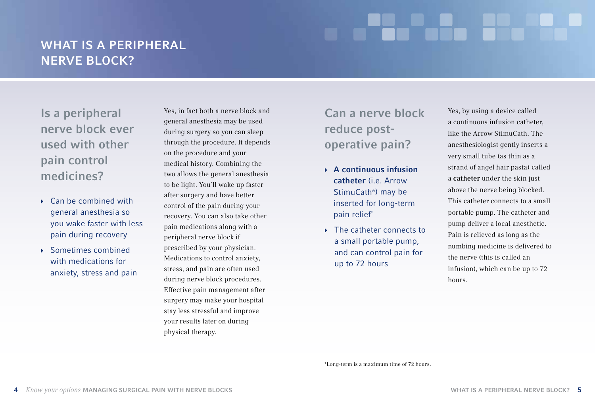# WHAT IS A PERIPHERAL NERVE BLOCK?

Is a peripheral nerve block ever used with other pain control medicines?

- $\blacktriangleright$  Can be combined with general anesthesia so you wake faster with less pain during recovery
- $\rightarrow$  Sometimes combined with medications for anxiety, stress and pain

Yes, in fact both a nerve block and general anesthesia may be used during surgery so you can sleep through the procedure. It depends on the procedure and your medical history. Combining the two allows the general anesthesia to be light. You'll wake up faster after surgery and have better control of the pain during your recovery. You can also take other pain medications along with a peripheral nerve block if prescribed by your physician. Medications to control anxiety, stress, and pain are often used during nerve block procedures. Effective pain management after surgery may make your hospital stay less stressful and improve your results later on during physical therapy.

## Can a nerve block reduce postoperative pain?

- $\rightarrow$  A continuous infusion catheter (i.e. Arrow StimuCath®) may be inserted for long-term pain relief\*
- ▶ The catheter connects to a small portable pump, and can control pain for up to 72 hours

Yes, by using a device called a continuous infusion catheter, like the Arrow StimuCath. The anesthesiologist gently inserts a very small tube (as thin as a strand of angel hair pasta) called a catheter under the skin just above the nerve being blocked. This catheter connects to a small portable pump. The catheter and pump deliver a local anesthetic. Pain is relieved as long as the numbing medicine is delivered to the nerve (this is called an infusion), which can be up to 72 hours.

\*Long-term is a maximum time of 72 hours.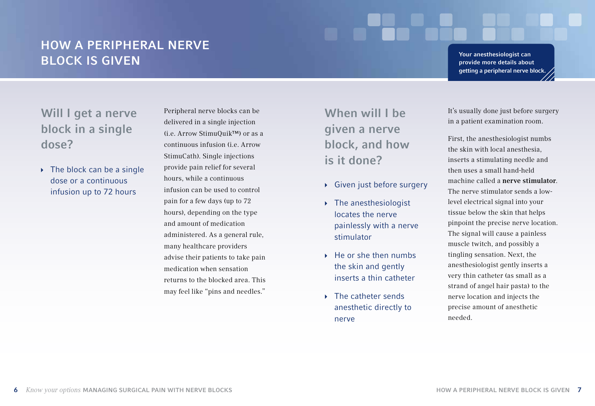## How a peripheral nerve block is given

Your anesthesiologist can provide more details about getting a peripheral nerve block.

Will I get a nerve block in a single dose?

 $\rightarrow$  The block can be a single dose or a continuous infusion up to 72 hours

Peripheral nerve blocks can be delivered in a single injection (i.e. Arrow StimuQuik™) or as a continuous infusion (i.e. Arrow StimuCath). Single injections provide pain relief for several hours, while a continuous infusion can be used to control pain for a few days (up to 72 hours), depending on the type and amount of medication administered. As a general rule, many healthcare providers advise their patients to take pain medication when sensation returns to the blocked area. This may feel like "pins and needles."

When will I be given a nerve block, and how is it done?

- ▶ Given just before surgery
- $\triangleright$  The anesthesiologist locates the nerve painlessly with a nerve stimulator
- $\rightarrow$  He or she then numbs the skin and gently inserts a thin catheter
- $\blacktriangleright$  The catheter sends anesthetic directly to nerve

It's usually done just before surgery in a patient examination room.

First, the anesthesiologist numbs the skin with local anesthesia, inserts a stimulating needle and then uses a small hand-held machine called a nerve stimulator. The nerve stimulator sends a lowlevel electrical signal into your tissue below the skin that helps pinpoint the precise nerve location. The signal will cause a painless muscle twitch, and possibly a tingling sensation. Next, the anesthesiologist gently inserts a very thin catheter (as small as a strand of angel hair pasta) to the nerve location and injects the precise amount of anesthetic needed.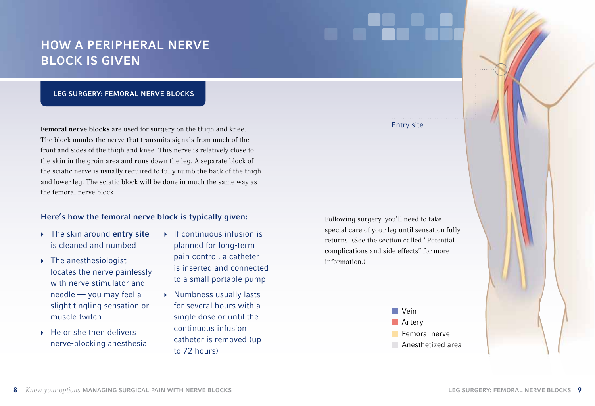## How a peripheral nerve block is given

#### Leg surgery: Femoral nerve blocks

Femoral nerve blocks are used for surgery on the thigh and knee. The block numbs the nerve that transmits signals from much of the front and sides of the thigh and knee. This nerve is relatively close to the skin in the groin area and runs down the leg. A separate block of the sciatic nerve is usually required to fully numb the back of the thigh and lower leg. The sciatic block will be done in much the same way as the femoral nerve block.

#### Here's how the femoral nerve block is typically given:

- $\rightarrow$  The skin around entry site is cleaned and numbed
- $\rightarrow$  The anesthesiologist locates the nerve painlessly with nerve stimulator and needle — you may feel a slight tingling sensation or muscle twitch
- $\rightarrow$  He or she then delivers nerve-blocking anesthesia
- $\blacktriangleright$  If continuous infusion is planned for long-term pain control, a catheter is inserted and connected to a small portable pump
- $\rightarrow$  Numbness usually lasts for several hours with a single dose or until the continuous infusion catheter is removed (up to 72 hours)

Following surgery, you'll need to take special care of your leg until sensation fully returns. (See the section called "Potential complications and side effects" for more information.)



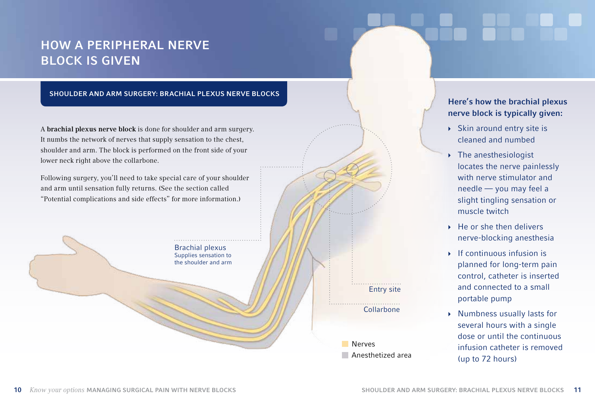## How a peripheral nerve block is given

#### shoulder and arm surgery: Brachial plexus nerve blocks

A brachial plexus nerve block is done for shoulder and arm surgery. It numbs the network of nerves that supply sensation to the chest, shoulder and arm. The block is performed on the front side of your lower neck right above the collarbone.

Following surgery, you'll need to take special care of your shoulder and arm until sensation fully returns. (See the section called "Potential complications and side effects" for more information.)



#### Here's how the brachial plexus nerve block is typically given:

- $\triangleright$  Skin around entry site is cleaned and numbed
- $\triangleright$  The anesthesiologist locates the nerve painlessly with nerve stimulator and needle — you may feel a slight tingling sensation or muscle twitch
- $\rightarrow$  He or she then delivers nerve-blocking anesthesia
- $\blacktriangleright$  If continuous infusion is planned for long-term pain control, catheter is inserted and connected to a small portable pump
- } Numbness usually lasts for several hours with a single dose or until the continuous infusion catheter is removed (up to 72 hours)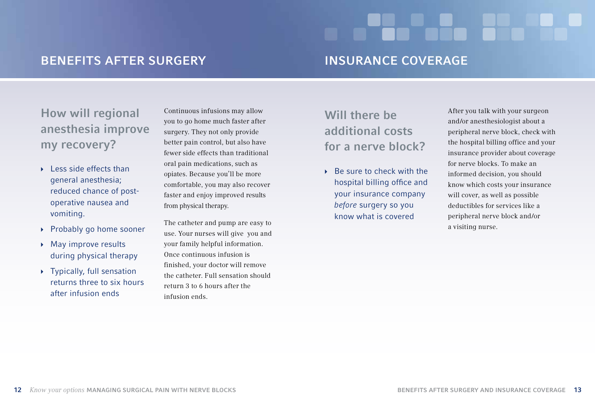## Benefits after surgery

#### Insurance coverage

How will regional anesthesia improve my recovery?

- $\blacktriangleright$  Less side effects than general anesthesia; reduced chance of postoperative nausea and vomiting.
- ▶ Probably go home sooner
- ▶ May improve results during physical therapy
- $\rightarrow$  Typically, full sensation returns three to six hours after infusion ends

Continuous infusions may allow you to go home much faster after surgery. They not only provide better pain control, but also have fewer side effects than traditional oral pain medications, such as opiates. Because you'll be more comfortable, you may also recover faster and enjoy improved results from physical therapy.

The catheter and pump are easy to use. Your nurses will give you and your family helpful information. Once continuous infusion is finished, your doctor will remove the catheter. Full sensation should return 3 to 6 hours after the infusion ends.

## Will there be additional costs for a nerve block?

 $\rightarrow$  Be sure to check with the hospital billing office and your insurance company before surgery so you know what is covered

After you talk with your surgeon and/or anesthesiologist about a peripheral nerve block, check with the hospital billing office and your insurance provider about coverage for nerve blocks. To make an informed decision, you should know which costs your insurance will cover, as well as possible deductibles for services like a peripheral nerve block and/or a visiting nurse.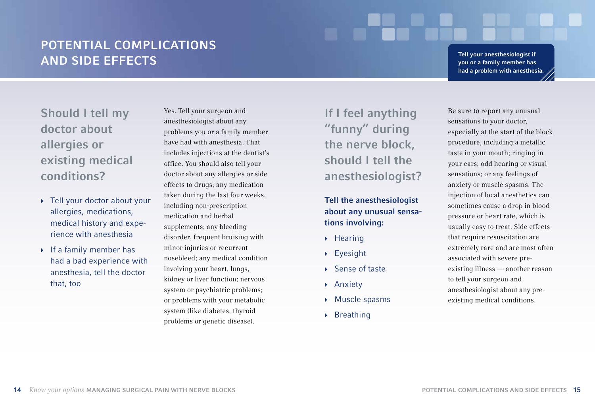## Potential complications and side effects

Tell your anesthesiologist if you or a family member has had a problem with anesthesia.

Should I tell my doctor about allergies or existing medical conditions?

- } Tell your doctor about your allergies, medications, medical history and experience with anesthesia
- $\rightarrow$  If a family member has had a bad experience with anesthesia, tell the doctor that, too

Yes. Tell your surgeon and anesthesiologist about any problems you or a family member have had with anesthesia. That includes injections at the dentist's office. You should also tell your doctor about any allergies or side effects to drugs; any medication taken during the last four weeks, including non-prescription medication and herbal supplements; any bleeding disorder, frequent bruising with minor injuries or recurrent nosebleed; any medical condition involving your heart, lungs, kidney or liver function; nervous system or psychiatric problems; or problems with your metabolic system (like diabetes, thyroid problems or genetic disease).

If I feel anything "funny" during the nerve block, should I tell the anesthesiologist?

#### Tell the anesthesiologist about any unusual sensations involving:

- $\rightarrow$  Hearing
- $\blacktriangleright$  Eyesight
- } Sense of taste
- ▶ Anxiety
- } Muscle spasms
- $\triangleright$  Breathing

Be sure to report any unusual sensations to your doctor, especially at the start of the block procedure, including a metallic taste in your mouth; ringing in your ears; odd hearing or visual sensations; or any feelings of anxiety or muscle spasms. The injection of local anesthetics can sometimes cause a drop in blood pressure or heart rate, which is usually easy to treat. Side effects that require resuscitation are extremely rare and are most often associated with severe preexisting illness — another reason to tell your surgeon and anesthesiologist about any preexisting medical conditions.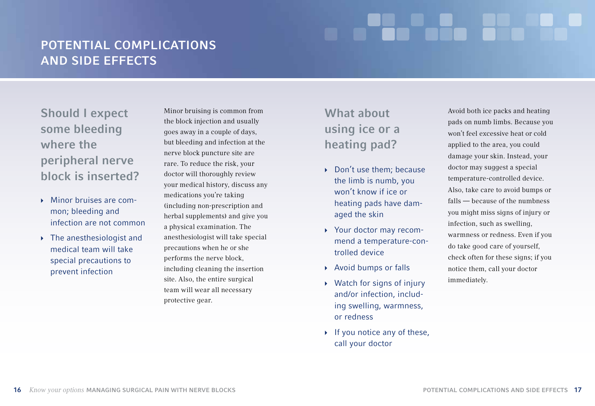## Potential complications and side effects

Should I expect some bleeding where the peripheral nerve block is inserted?

- $\blacktriangleright$  Minor bruises are common; bleeding and infection are not common
- $\rightarrow$  The anesthesiologist and medical team will take special precautions to prevent infection

Minor bruising is common from the block injection and usually goes away in a couple of days, but bleeding and infection at the nerve block puncture site are rare. To reduce the risk, your doctor will thoroughly review your medical history, discuss any medications you're taking (including non-prescription and herbal supplements) and give you a physical examination. The anesthesiologist will take special precautions when he or she performs the nerve block, including cleaning the insertion site. Also, the entire surgical team will wear all necessary protective gear.

# What about using ice or a heating pad?

- ▶ Don't use them; because the limb is numb, you won't know if ice or heating pads have damaged the skin
- } Your doctor may recommend a temperature-controlled device
- ▶ Avoid bumps or falls
- $\rightarrow$  Watch for signs of injury and/or infection, including swelling, warmness, or redness
- $\blacktriangleright$  If you notice any of these, call your doctor

Avoid both ice packs and heating pads on numb limbs. Because you won't feel excessive heat or cold applied to the area, you could damage your skin. Instead, your doctor may suggest a special temperature-controlled device. Also, take care to avoid bumps or falls — because of the numbness you might miss signs of injury or infection, such as swelling, warmness or redness. Even if you do take good care of yourself, check often for these signs; if you notice them, call your doctor immediately.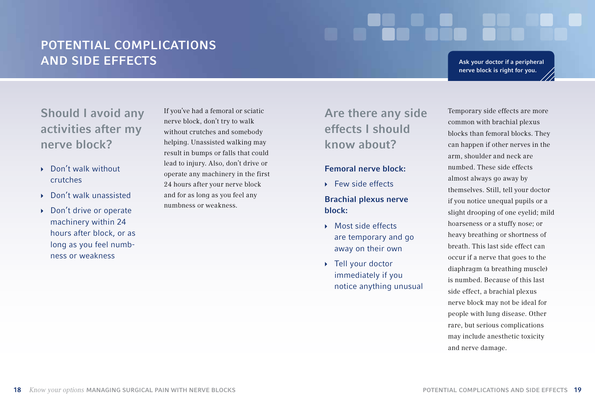## Potential complications and side effects

Ask your doctor if a peripheral nerve block is right for you.

Should I avoid any activities after my nerve block?

- ▶ Don't walk without crutches
- } Don't walk unassisted
- ▶ Don't drive or operate machinery within 24 hours after block, or as long as you feel numbness or weakness

If you've had a femoral or sciatic nerve block, don't try to walk without crutches and somebody helping. Unassisted walking may result in bumps or falls that could lead to injury. Also, don't drive or operate any machinery in the first 24 hours after your nerve block and for as long as you feel any numbness or weakness.

## Are there any side effects I should know about?

#### Femoral nerve block:

**Few side effects** 

#### Brachial plexus nerve block:

- ▶ Most side effects are temporary and go away on their own
- ▶ Tell your doctor immediately if you notice anything unusual

Temporary side effects are more common with brachial plexus blocks than femoral blocks. They can happen if other nerves in the arm, shoulder and neck are numbed. These side effects almost always go away by themselves. Still, tell your doctor if you notice unequal pupils or a slight drooping of one eyelid; mild hoarseness or a stuffy nose; or heavy breathing or shortness of breath. This last side effect can occur if a nerve that goes to the diaphragm (a breathing muscle) is numbed. Because of this last side effect, a brachial plexus nerve block may not be ideal for people with lung disease. Other rare, but serious complications may include anesthetic toxicity and nerve damage.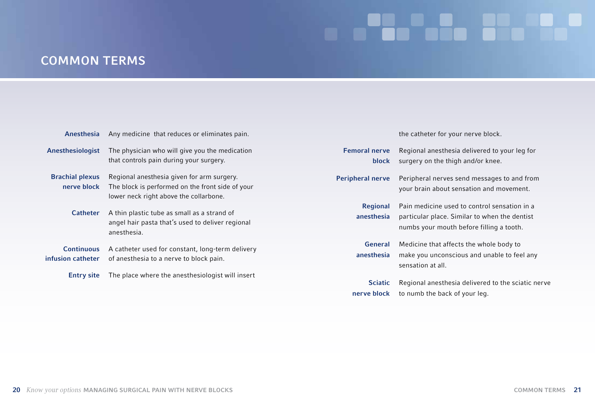# an an Caballach an Caballach

# common terms

| Anesthesia                             | Any medicine that reduces or eliminates pain.                                                                                            |                               | the catheter for your nerve block.                                                                                                        |
|----------------------------------------|------------------------------------------------------------------------------------------------------------------------------------------|-------------------------------|-------------------------------------------------------------------------------------------------------------------------------------------|
| Anesthesiologist                       | The physician who will give you the medication<br>that controls pain during your surgery.                                                | <b>Femoral nerve</b><br>block | Regional anesthesia delivered to your leg for<br>surgery on the thigh and/or knee.                                                        |
| <b>Brachial plexus</b><br>nerve block  | Regional anesthesia given for arm surgery.<br>The block is performed on the front side of your<br>lower neck right above the collarbone. | <b>Peripheral nerve</b>       | Peripheral nerves send messages to and from<br>your brain about sensation and movement.                                                   |
| <b>Catheter</b>                        | A thin plastic tube as small as a strand of<br>angel hair pasta that's used to deliver regional<br>anesthesia.                           | <b>Regional</b><br>anesthesia | Pain medicine used to control sensation in a<br>particular place. Similar to when the dentist<br>numbs your mouth before filling a tooth. |
| <b>Continuous</b><br>infusion catheter | A catheter used for constant, long-term delivery<br>of anesthesia to a nerve to block pain.                                              | <b>General</b><br>anesthesia  | Medicine that affects the whole body to<br>make you unconscious and unable to feel any<br>sensation at all.                               |
| <b>Entry site</b>                      | The place where the anesthesiologist will insert                                                                                         | <b>Sciatic</b><br>nerve block | Regional anesthesia delivered to the sciatic nerve<br>to numb the back of your leg.                                                       |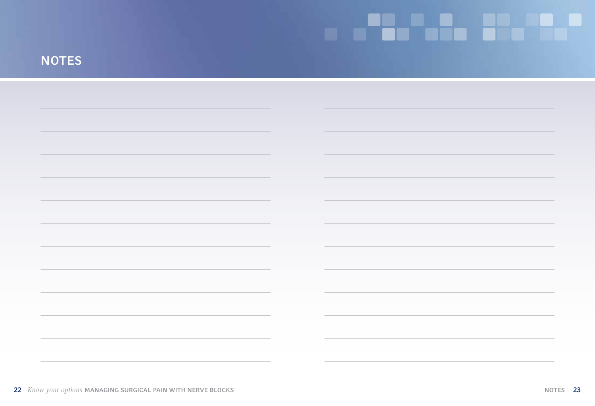# **NOTES**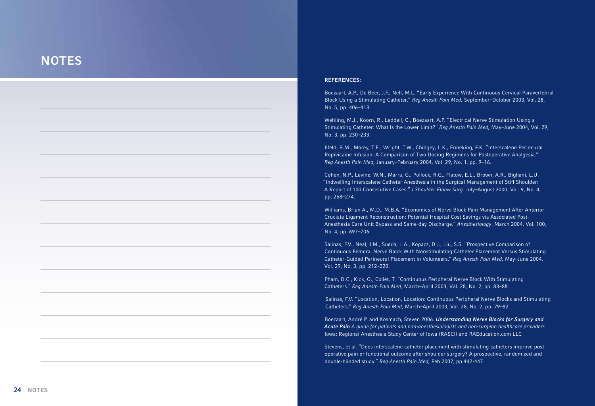#### **NOTES**

#### REFERENCES :

Boezaart, A.P., De Beer, J.F., Nell, M.L. "Early Experience With Continuous Cervical Paravertebral Block Using a Stimulating Catheter." Reg Anesth Pain Med, September–October 2003, Vol. 28, No. 5, pp. 406–413.

Wehling, M.J., Koorn, R., Leddell, C., Boezaart, A.P. "Electrical Nerve Stimulation Using a Stimulating Catheter: What Is the Lower Limit?" Reg Anesth Pain Med, May–June 2004, Vol. 29, No. 3, pp. 230–233.

Ilfeld, B.M., Morey, T.E., Wright, T.W., Chidgey, L.K., Enneking, F.K. "Interscalene Perineural Ropivicaine Infusion: A Comparison of Two Dosing Regimens for Postoperative Analgesia." Reg Anesth Pain Med, January–February 2004, Vol. 29, No. 1, pp. 9–16.

Cohen, N.P., Levine, W.N., Marra, G., Pollock, R.G., Flatow, E.L., Brown, A.R., Bigliani, L.U. "Indwelling Interscalene Catheter Anesthesia in the Surgical Management of Stiff Shoulder: A Report of 100 Consecutive Cases." J Shoulder Elbow Surg, July–August 2000, Vol. 9, No. 4, pp. 268–274.

Williams, Brian A., M.D., M.B.A. "Economics of Nerve Block Pain Management After Anterior Cruciate Ligament Reconstruction: Potential Hospital Cost Savings via Associated Post-Anesthesia Care Unit Bypass and Same-day Discharge." Anesthesiology. March 2004, Vol. 100, No. 4, pp. 697–706.

Salinas, F.V., Neal, J.M., Sueda, L.A., Kopacz, D.J., Liu, S.S. "Prospective Comparison of Continuous Femoral Nerve Block With Nonstimulating Catheter Placement Versus Stimulating Catheter-Guided Perineural Placement in Volunteers." Reg Anesth Pain Med, May–June 2004, Vol. 29, No. 3, pp. 212–220.

Pham, D.C., Kick, O., Collet, T. "Continuous Peripheral Nerve Block With Stimulating Catheters." Reg Anesth Pain Med, March–April 2003, Vol. 28, No. 2, pp. 83–88.

Salinas, F.V. "Location, Location, Location: Continuous Peripheral Nerve Blocks and Stimulating Catheters." Reg Anesth Pain Med, March–April 2003, Vol. 28, No. 2, pp. 79–82.

Boezaart, André P. and Kosmach, Steven 2006. Understanding Nerve Blocks for Surgery and Acute Pain A guide for patients and non-anesthesiologists and non-surgeon healthcare providers Iowa: Regional Anesthesia Study Center of Iowa (RASCI) and RAEducation.com LLC

Stevens, et al. "Does interscalene catheter placement with stimulating catheters improve post operative pain or functional outcome after shoulder surgery? A prospective, randomized and double-blinded study." Reg Anesth Pain Med, Feb 2007, pp 442-447.